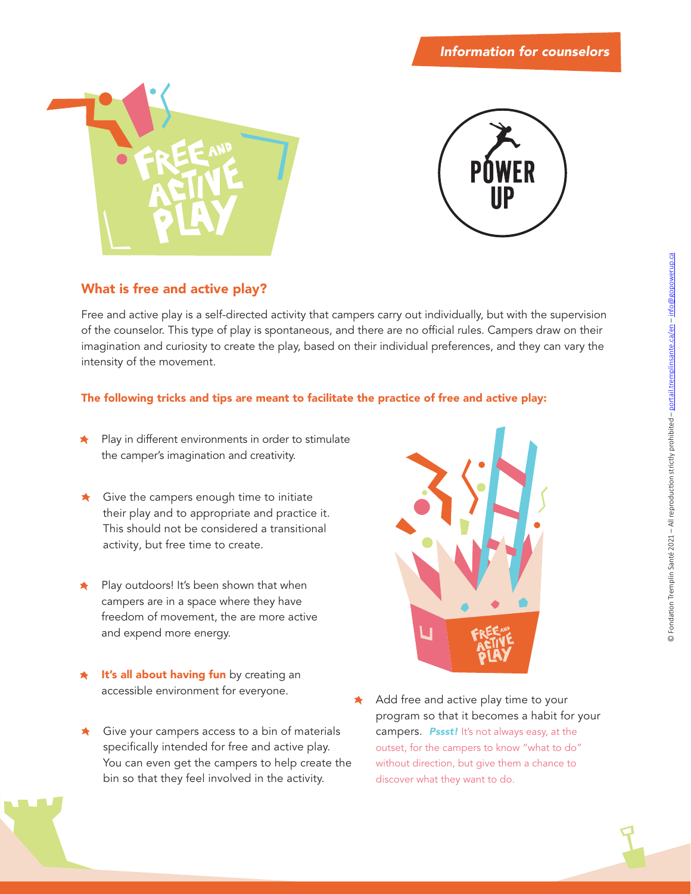



# **What is free and active play?**

Free and active play is a self-directed activity that campers carry out individually, but with the supervision of the counselor. This type of play is spontaneous, and there are no official rules. Campers draw on their imagination and curiosity to create the play, based on their individual preferences, and they can vary the intensity of the movement.

### **The following tricks and tips are meant to facilitate the practice of free and active play:**

- Play in different environments in order to stimulate the camper's imagination and creativity.
- $\star$  Give the campers enough time to initiate their play and to appropriate and practice it. This should not be considered a transitional activity, but free time to create.
- Play outdoors! It's been shown that when campers are in a space where they have freedom of movement, the are more active and expend more energy.
- **It's all about having fun** by creating an accessible environment for everyone.
- $\star$  Give your campers access to a bin of materials specifically intended for free and active play. You can even get the campers to help create the bin so that they feel involved in the activity.



Add free and active play time to your program so that it becomes a habit for your campers. *Pssst!* It's not always easy, at the outset, for the campers to know "what to do" without direction, but give them a chance to discover what they want to do.